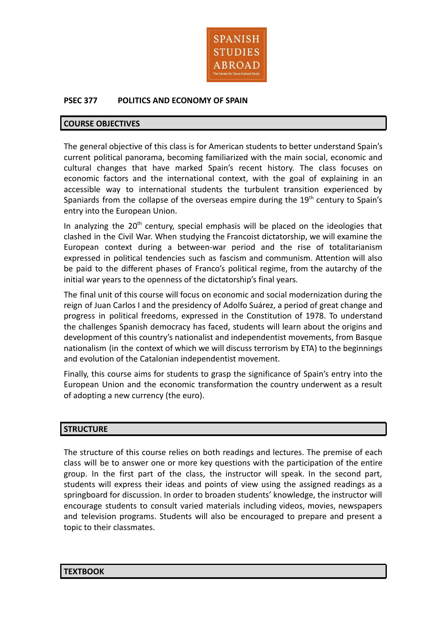

## **PSEC 377 POLITICS AND ECONOMY OF SPAIN**

#### **COURSE OBJECTIVES**

The general objective of this class is for American students to better understand Spain's current political panorama, becoming familiarized with the main social, economic and cultural changes that have marked Spain's recent history. The class focuses on economic factors and the international context, with the goal of explaining in an accessible way to international students the turbulent transition experienced by Spaniards from the collapse of the overseas empire during the  $19<sup>th</sup>$  century to Spain's entry into the European Union.

In analyzing the  $20<sup>th</sup>$  century, special emphasis will be placed on the ideologies that clashed in the Civil War. When studying the Francoist dictatorship, we will examine the European context during a between-war period and the rise of totalitarianism expressed in political tendencies such as fascism and communism. Attention will also be paid to the different phases of Franco's political regime, from the autarchy of the initial war years to the openness of the dictatorship's final years.

The final unit of this course will focus on economic and social modernization during the reign of Juan Carlos I and the presidency of Adolfo Suárez, a period of great change and progress in political freedoms, expressed in the Constitution of 1978. To understand the challenges Spanish democracy has faced, students will learn about the origins and development of this country's nationalist and independentist movements, from Basque nationalism (in the context of which we will discuss terrorism by ETA) to the beginnings and evolution of the Catalonian independentist movement.

Finally, this course aims for students to grasp the significance of Spain's entry into the European Union and the economic transformation the country underwent as a result of adopting a new currency (the euro).

#### **STRUCTURE**

The structure of this course relies on both readings and lectures. The premise of each class will be to answer one or more key questions with the participation of the entire group. In the first part of the class, the instructor will speak. In the second part, students will express their ideas and points of view using the assigned readings as a springboard for discussion. In order to broaden students' knowledge, the instructor will encourage students to consult varied materials including videos, movies, newspapers and television programs. Students will also be encouraged to prepare and present a topic to their classmates.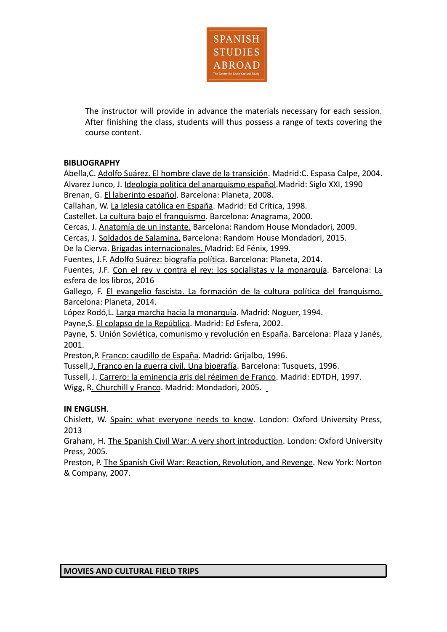

The instructor will provide in advance the materials necessary for each session. After finishing the class, students will thus possess a range of texts covering the course content.

# **BIBLIOGRAPHY**

Abella,C. Adolfo Suárez. El hombre clave de la transición. Madrid:C. Espasa Calpe, 2004. Alvarez Junco, J. Ideología política del anarquismo español.Madrid: Siglo XXI, 1990 Brenan, G. El laberinto español. Barcelona: Planeta, 2008.

Callahan, W. La Iglesia católica en España. Madrid: Ed Crítica, 1998.

Castellet. La cultura bajo el franquismo. Barcelona: Anagrama, 2000.

Cercas, J. Anatomía de un instante. Barcelona: Random House Mondadori, 2009.

Cercas, J. Soldados de Salamina. Barcelona: Random House Mondadori, 2015.

De la Cierva. Brigadas internacionales. Madrid: Ed Fénix, 1999.

Fuentes, J.F. Adolfo Suárez: biografía política. Barcelona: Planeta, 2014.

Fuentes, J.F. Con el rey y contra el rey: los socialistas y la monarquía. Barcelona: La esfera de los libros, 2016

Gallego, F. El evangelio fascista. La formación de la cultura política del franquismo. Barcelona: Planeta, 2014.

López Rodó,L. Larga marcha hacia la monarquía. Madrid: Noguer, 1994.

Payne,S. El colapso de la República. Madrid: Ed Esfera, 2002.

Payne, S. Unión Soviética, comunismo y revolución en España. Barcelona: Plaza y Janés, 2001.

Preston,P. Franco: caudillo de España. Madrid: Grijalbo, 1996.

Tussell,J. Franco en la guerra civil. Una biografía. Barcelona: Tusquets, 1996.

Tussell, J. Carrero: la eminencia gris del régimen de Franco. Madrid: EDTDH, 1997.

Wigg, R. Churchill y Franco. Madrid: Mondadori, 2005.

#### **IN ENGLISH**.

Chislett, W. Spain: what everyone needs to know. London: Oxford University Press, 2013

Graham, H. The Spanish Civil War: A very short introduction. London: Oxford University Press, 2005.

Preston, P. The Spanish Civil War: Reaction, Revolution, and Revenge. New York: Norton & Company, 2007.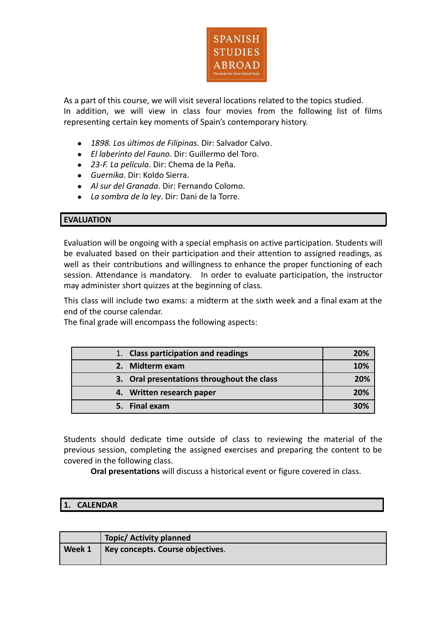

As a part of this course, we will visit several locations related to the topics studied. In addition, we will view in class four movies from the following list of films representing certain key moments of Spain's contemporary history.

- *1898. Los últimos de Filipinas*. Dir: Salvador Calvo.
- *El laberinto del Fauno*. Dir: Guillermo del Toro.
- *23-F. La película*. Dir: Chema de la Peña.
- *Guernika*. Dir: Koldo Sierra.
- *Al sur del Granada*. Dir: Fernando Colomo.
- *La sombra de la ley*. Dir: Dani de la Torre.

### **EVALUATION**

Evaluation will be ongoing with a special emphasis on active participation. Students will be evaluated based on their participation and their attention to assigned readings, as well as their contributions and willingness to enhance the proper functioning of each session. Attendance is mandatory. In order to evaluate participation, the instructor may administer short quizzes at the beginning of class.

This class will include two exams: a midterm at the sixth week and a final exam at the end of the course calendar.

The final grade will encompass the following aspects:

| 1. Class participation and readings        | 20%        |
|--------------------------------------------|------------|
| 2. Midterm exam                            | <b>10%</b> |
| 3. Oral presentations throughout the class | 20%        |
| 4. Written research paper                  | 20%        |
| 5. Final exam                              | 30%        |

Students should dedicate time outside of class to reviewing the material of the previous session, completing the assigned exercises and preparing the content to be covered in the following class.

**Oral presentations** will discuss a historical event or figure covered in class.

# **1. CALENDAR**

|        | <b>Topic/ Activity planned</b>   |
|--------|----------------------------------|
| Week 1 | Key concepts. Course objectives. |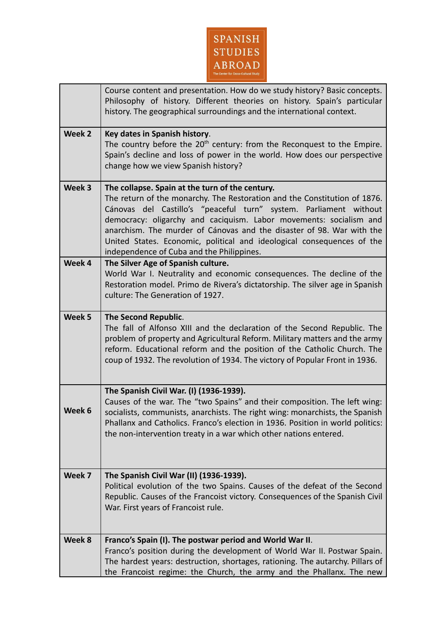

|        | Course content and presentation. How do we study history? Basic concepts.<br>Philosophy of history. Different theories on history. Spain's particular<br>history. The geographical surroundings and the international context.                                                                                                                                                                                                                                          |
|--------|-------------------------------------------------------------------------------------------------------------------------------------------------------------------------------------------------------------------------------------------------------------------------------------------------------------------------------------------------------------------------------------------------------------------------------------------------------------------------|
| Week 2 | Key dates in Spanish history.<br>The country before the 20 <sup>th</sup> century: from the Reconquest to the Empire.<br>Spain's decline and loss of power in the world. How does our perspective<br>change how we view Spanish history?                                                                                                                                                                                                                                 |
| Week 3 | The collapse. Spain at the turn of the century.<br>The return of the monarchy. The Restoration and the Constitution of 1876.<br>Cánovas del Castillo's "peaceful turn" system. Parliament without<br>democracy: oligarchy and caciquism. Labor movements: socialism and<br>anarchism. The murder of Cánovas and the disaster of 98. War with the<br>United States. Economic, political and ideological consequences of the<br>independence of Cuba and the Philippines. |
| Week 4 | The Silver Age of Spanish culture.<br>World War I. Neutrality and economic consequences. The decline of the<br>Restoration model. Primo de Rivera's dictatorship. The silver age in Spanish<br>culture: The Generation of 1927.                                                                                                                                                                                                                                         |
| Week 5 | The Second Republic.<br>The fall of Alfonso XIII and the declaration of the Second Republic. The<br>problem of property and Agricultural Reform. Military matters and the army<br>reform. Educational reform and the position of the Catholic Church. The<br>coup of 1932. The revolution of 1934. The victory of Popular Front in 1936.                                                                                                                                |
| Week 6 | The Spanish Civil War. (I) (1936-1939).<br>Causes of the war. The "two Spains" and their composition. The left wing:<br>socialists, communists, anarchists. The right wing: monarchists, the Spanish<br>Phallanx and Catholics. Franco's election in 1936. Position in world politics:<br>the non-intervention treaty in a war which other nations entered.                                                                                                             |
| Week 7 | The Spanish Civil War (II) (1936-1939).<br>Political evolution of the two Spains. Causes of the defeat of the Second<br>Republic. Causes of the Francoist victory. Consequences of the Spanish Civil<br>War. First years of Francoist rule.                                                                                                                                                                                                                             |
| Week 8 | Franco's Spain (I). The postwar period and World War II.<br>Franco's position during the development of World War II. Postwar Spain.<br>The hardest years: destruction, shortages, rationing. The autarchy. Pillars of<br>the Francoist regime: the Church, the army and the Phallanx. The new                                                                                                                                                                          |